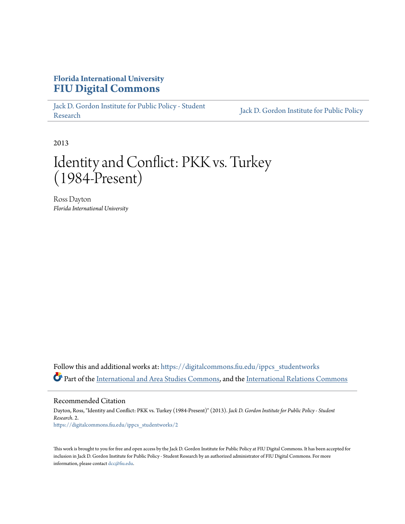## **Florida International University [FIU Digital Commons](https://digitalcommons.fiu.edu?utm_source=digitalcommons.fiu.edu%2Fippcs_studentworks%2F2&utm_medium=PDF&utm_campaign=PDFCoverPages)**

[Jack D. Gordon Institute for Public Policy - Student](https://digitalcommons.fiu.edu/ippcs_studentworks?utm_source=digitalcommons.fiu.edu%2Fippcs_studentworks%2F2&utm_medium=PDF&utm_campaign=PDFCoverPages) Jack D. Gordon Institute for Public Policy<br>[Research](https://digitalcommons.fiu.edu/ippcs_studentworks?utm_source=digitalcommons.fiu.edu%2Fippcs_studentworks%2F2&utm_medium=PDF&utm_campaign=PDFCoverPages) [Jack D. Gordon Institute for Public Policy](https://digitalcommons.fiu.edu/ippcs?utm_source=digitalcommons.fiu.edu%2Fippcs_studentworks%2F2&utm_medium=PDF&utm_campaign=PDFCoverPages)

2013

## Identity and Conflict: PKK vs. Turkey (1984-Present)

Ross Dayton *Florida International University*

Follow this and additional works at: [https://digitalcommons.fiu.edu/ippcs\\_studentworks](https://digitalcommons.fiu.edu/ippcs_studentworks?utm_source=digitalcommons.fiu.edu%2Fippcs_studentworks%2F2&utm_medium=PDF&utm_campaign=PDFCoverPages) Part of the [International and Area Studies Commons,](http://network.bepress.com/hgg/discipline/360?utm_source=digitalcommons.fiu.edu%2Fippcs_studentworks%2F2&utm_medium=PDF&utm_campaign=PDFCoverPages) and the [International Relations Commons](http://network.bepress.com/hgg/discipline/389?utm_source=digitalcommons.fiu.edu%2Fippcs_studentworks%2F2&utm_medium=PDF&utm_campaign=PDFCoverPages)

Recommended Citation

Dayton, Ross, "Identity and Conflict: PKK vs. Turkey (1984-Present)" (2013). *Jack D. Gordon Institute for Public Policy - Student Research*. 2. [https://digitalcommons.fiu.edu/ippcs\\_studentworks/2](https://digitalcommons.fiu.edu/ippcs_studentworks/2?utm_source=digitalcommons.fiu.edu%2Fippcs_studentworks%2F2&utm_medium=PDF&utm_campaign=PDFCoverPages)

This work is brought to you for free and open access by the Jack D. Gordon Institute for Public Policy at FIU Digital Commons. It has been accepted for inclusion in Jack D. Gordon Institute for Public Policy - Student Research by an authorized administrator of FIU Digital Commons. For more information, please contact [dcc@fiu.edu](mailto:dcc@fiu.edu).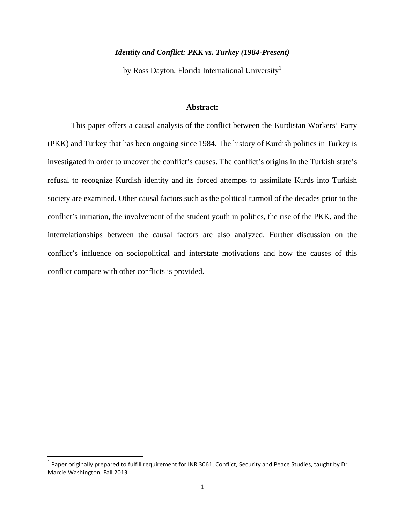### *Identity and Conflict: PKK vs. Turkey (1984-Present)*

by Ross Dayton, Florida International University<sup>1</sup>

#### **Abstract:**

 This paper offers a causal analysis of the conflict between the Kurdistan Workers' Party (PKK) and Turkey that has been ongoing since 1984. The history of Kurdish politics in Turkey is investigated in order to uncover the conflict's causes. The conflict's origins in the Turkish state's refusal to recognize Kurdish identity and its forced attempts to assimilate Kurds into Turkish society are examined. Other causal factors such as the political turmoil of the decades prior to the conflict's initiation, the involvement of the student youth in politics, the rise of the PKK, and the interrelationships between the causal factors are also analyzed. Further discussion on the conflict's influence on sociopolitical and interstate motivations and how the causes of this conflict compare with other conflicts is provided.

 $1$  Paper originally prepared to fulfill requirement for INR 3061, Conflict, Security and Peace Studies, taught by Dr. Marcie Washington, Fall 2013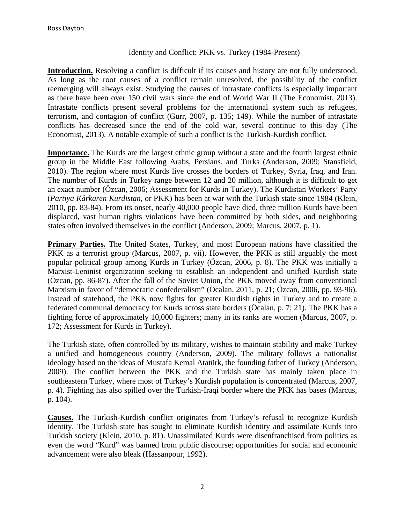#### Identity and Conflict: PKK vs. Turkey (1984-Present)

**Introduction.** Resolving a conflict is difficult if its causes and history are not fully understood. As long as the root causes of a conflict remain unresolved, the possibility of the conflict reemerging will always exist. Studying the causes of intrastate conflicts is especially important as there have been over 150 civil wars since the end of World War II (The Economist, 2013). Intrastate conflicts present several problems for the international system such as refugees, terrorism, and contagion of conflict (Gurr, 2007, p. 135; 149). While the number of intrastate conflicts has decreased since the end of the cold war, several continue to this day (The Economist, 2013). A notable example of such a conflict is the Turkish-Kurdish conflict.

**Importance.** The Kurds are the largest ethnic group without a state and the fourth largest ethnic group in the Middle East following Arabs, Persians, and Turks (Anderson, 2009; Stansfield, 2010). The region where most Kurds live crosses the borders of Turkey, Syria, Iraq, and Iran. The number of Kurds in Turkey range between 12 and 20 million, although it is difficult to get an exact number (Özcan, 2006; Assessment for Kurds in Turkey). The Kurdistan Workers' Party (*Partiya Kârkaren Kurdistan,* or PKK) has been at war with the Turkish state since 1984 (Klein, 2010, pp. 83-84). From its onset, nearly 40,000 people have died, three million Kurds have been displaced, vast human rights violations have been committed by both sides, and neighboring states often involved themselves in the conflict (Anderson, 2009; Marcus, 2007, p. 1).

**Primary Parties.** The United States, Turkey, and most European nations have classified the PKK as a terrorist group (Marcus, 2007, p. vii). However, the PKK is still arguably the most popular political group among Kurds in Turkey (Özcan, 2006, p. 8). The PKK was initially a Marxist-Leninist organization seeking to establish an independent and unified Kurdish state (Özcan, pp. 86-87). After the fall of the Soviet Union, the PKK moved away from conventional Marxism in favor of "democratic confederalism" (Öcalan, 2011, p. 21; Özcan, 2006, pp. 93-96). Instead of statehood, the PKK now fights for greater Kurdish rights in Turkey and to create a federated communal democracy for Kurds across state borders (Öcalan, p. 7; 21). The PKK has a fighting force of approximately 10,000 fighters; many in its ranks are women (Marcus, 2007, p. 172; Assessment for Kurds in Turkey).

The Turkish state, often controlled by its military, wishes to maintain stability and make Turkey a unified and homogeneous country (Anderson, 2009). The military follows a nationalist ideology based on the ideas of Mustafa Kemal Atatürk, the founding father of Turkey (Anderson, 2009). The conflict between the PKK and the Turkish state has mainly taken place in southeastern Turkey, where most of Turkey's Kurdish population is concentrated (Marcus, 2007, p. 4). Fighting has also spilled over the Turkish-Iraqi border where the PKK has bases (Marcus, p. 104).

**Causes.** The Turkish-Kurdish conflict originates from Turkey's refusal to recognize Kurdish identity. The Turkish state has sought to eliminate Kurdish identity and assimilate Kurds into Turkish society (Klein, 2010, p. 81). Unassimilated Kurds were disenfranchised from politics as even the word "Kurd" was banned from public discourse; opportunities for social and economic advancement were also bleak (Hassanpour, 1992).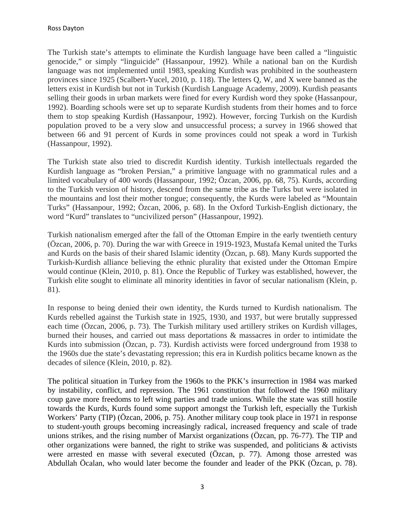The Turkish state's attempts to eliminate the Kurdish language have been called a "linguistic genocide," or simply "linguicide" (Hassanpour, 1992). While a national ban on the Kurdish language was not implemented until 1983, speaking Kurdish was prohibited in the southeastern provinces since 1925 (Scalbert-Yucel, 2010, p. 118). The letters Q, W, and X were banned as the letters exist in Kurdish but not in Turkish (Kurdish Language Academy, 2009). Kurdish peasants selling their goods in urban markets were fined for every Kurdish word they spoke (Hassanpour, 1992). Boarding schools were set up to separate Kurdish students from their homes and to force them to stop speaking Kurdish (Hassanpour, 1992). However, forcing Turkish on the Kurdish population proved to be a very slow and unsuccessful process; a survey in 1966 showed that between 66 and 91 percent of Kurds in some provinces could not speak a word in Turkish (Hassanpour, 1992).

The Turkish state also tried to discredit Kurdish identity. Turkish intellectuals regarded the Kurdish language as "broken Persian," a primitive language with no grammatical rules and a limited vocabulary of 400 words (Hassanpour, 1992; Özcan, 2006, pp. 68, 75). Kurds, according to the Turkish version of history, descend from the same tribe as the Turks but were isolated in the mountains and lost their mother tongue; consequently, the Kurds were labeled as "Mountain Turks" (Hassanpour, 1992; Özcan, 2006, p. 68). In the Oxford Turkish-English dictionary, the word "Kurd" translates to "uncivilized person" (Hassanpour, 1992).

Turkish nationalism emerged after the fall of the Ottoman Empire in the early twentieth century (Özcan, 2006, p. 70). During the war with Greece in 1919-1923, Mustafa Kemal united the Turks and Kurds on the basis of their shared Islamic identity (Özcan, p. 68). Many Kurds supported the Turkish-Kurdish alliance believing the ethnic plurality that existed under the Ottoman Empire would continue (Klein, 2010, p. 81). Once the Republic of Turkey was established, however, the Turkish elite sought to eliminate all minority identities in favor of secular nationalism (Klein, p. 81).

In response to being denied their own identity, the Kurds turned to Kurdish nationalism. The Kurds rebelled against the Turkish state in 1925, 1930, and 1937, but were brutally suppressed each time (Özcan, 2006, p. 73). The Turkish military used artillery strikes on Kurdish villages, burned their houses, and carried out mass deportations & massacres in order to intimidate the Kurds into submission (Özcan, p. 73). Kurdish activists were forced underground from 1938 to the 1960s due the state's devastating repression; this era in Kurdish politics became known as the decades of silence (Klein, 2010, p. 82).

The political situation in Turkey from the 1960s to the PKK's insurrection in 1984 was marked by instability, conflict, and repression. The 1961 constitution that followed the 1960 military coup gave more freedoms to left wing parties and trade unions. While the state was still hostile towards the Kurds, Kurds found some support amongst the Turkish left, especially the Turkish Workers' Party (TIP) (Özcan, 2006, p. 75). Another military coup took place in 1971 in response to student-youth groups becoming increasingly radical, increased frequency and scale of trade unions strikes, and the rising number of Marxist organizations (Özcan, pp. 76-77). The TIP and other organizations were banned, the right to strike was suspended, and politicians & activists were arrested en masse with several executed (Özcan, p. 77). Among those arrested was Abdullah Öcalan, who would later become the founder and leader of the PKK (Özcan, p. 78).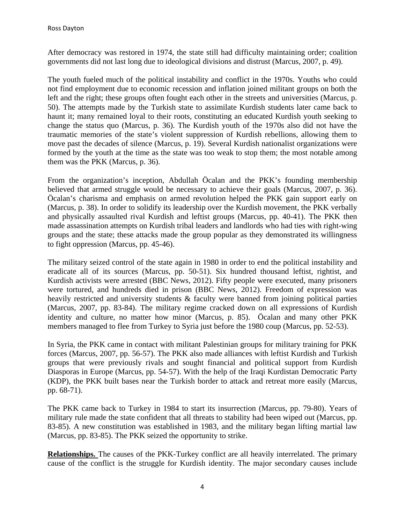After democracy was restored in 1974, the state still had difficulty maintaining order; coalition governments did not last long due to ideological divisions and distrust (Marcus, 2007, p. 49).

The youth fueled much of the political instability and conflict in the 1970s. Youths who could not find employment due to economic recession and inflation joined militant groups on both the left and the right; these groups often fought each other in the streets and universities (Marcus, p. 50). The attempts made by the Turkish state to assimilate Kurdish students later came back to haunt it; many remained loyal to their roots, constituting an educated Kurdish youth seeking to change the status quo (Marcus, p. 36). The Kurdish youth of the 1970s also did not have the traumatic memories of the state's violent suppression of Kurdish rebellions, allowing them to move past the decades of silence (Marcus, p. 19). Several Kurdish nationalist organizations were formed by the youth at the time as the state was too weak to stop them; the most notable among them was the PKK (Marcus, p. 36).

From the organization's inception, Abdullah Öcalan and the PKK's founding membership believed that armed struggle would be necessary to achieve their goals (Marcus, 2007, p. 36). Öcalan's charisma and emphasis on armed revolution helped the PKK gain support early on (Marcus, p. 38). In order to solidify its leadership over the Kurdish movement, the PKK verbally and physically assaulted rival Kurdish and leftist groups (Marcus, pp. 40-41). The PKK then made assassination attempts on Kurdish tribal leaders and landlords who had ties with right-wing groups and the state; these attacks made the group popular as they demonstrated its willingness to fight oppression (Marcus, pp. 45-46).

The military seized control of the state again in 1980 in order to end the political instability and eradicate all of its sources (Marcus, pp. 50-51). Six hundred thousand leftist, rightist, and Kurdish activists were arrested (BBC News, 2012). Fifty people were executed, many prisoners were tortured, and hundreds died in prison (BBC News, 2012). Freedom of expression was heavily restricted and university students & faculty were banned from joining political parties (Marcus, 2007, pp. 83-84). The military regime cracked down on all expressions of Kurdish identity and culture, no matter how minor (Marcus, p. 85). Öcalan and many other PKK members managed to flee from Turkey to Syria just before the 1980 coup (Marcus, pp. 52-53).

In Syria, the PKK came in contact with militant Palestinian groups for military training for PKK forces (Marcus, 2007, pp. 56-57). The PKK also made alliances with leftist Kurdish and Turkish groups that were previously rivals and sought financial and political support from Kurdish Diasporas in Europe (Marcus, pp. 54-57). With the help of the Iraqi Kurdistan Democratic Party (KDP), the PKK built bases near the Turkish border to attack and retreat more easily (Marcus, pp. 68-71).

The PKK came back to Turkey in 1984 to start its insurrection (Marcus, pp. 79-80). Years of military rule made the state confident that all threats to stability had been wiped out (Marcus, pp. 83-85). A new constitution was established in 1983, and the military began lifting martial law (Marcus, pp. 83-85). The PKK seized the opportunity to strike.

**Relationships.** The causes of the PKK-Turkey conflict are all heavily interrelated. The primary cause of the conflict is the struggle for Kurdish identity. The major secondary causes include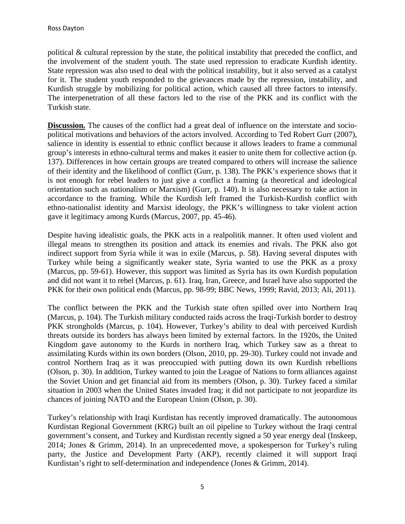political & cultural repression by the state, the political instability that preceded the conflict, and the involvement of the student youth. The state used repression to eradicate Kurdish identity. State repression was also used to deal with the political instability, but it also served as a catalyst for it. The student youth responded to the grievances made by the repression, instability, and Kurdish struggle by mobilizing for political action, which caused all three factors to intensify. The interpenetration of all these factors led to the rise of the PKK and its conflict with the Turkish state.

**Discussion.** The causes of the conflict had a great deal of influence on the interstate and sociopolitical motivations and behaviors of the actors involved. According to Ted Robert Gurr (2007), salience in identity is essential to ethnic conflict because it allows leaders to frame a communal group's interests in ethno-cultural terms and makes it easier to unite them for collective action (p. 137). Differences in how certain groups are treated compared to others will increase the salience of their identity and the likelihood of conflict (Gurr, p. 138). The PKK's experience shows that it is not enough for rebel leaders to just give a conflict a framing (a theoretical and ideological orientation such as nationalism or Marxism) (Gurr, p. 140). It is also necessary to take action in accordance to the framing. While the Kurdish left framed the Turkish-Kurdish conflict with ethno-nationalist identity and Marxist ideology, the PKK's willingness to take violent action gave it legitimacy among Kurds (Marcus, 2007, pp. 45-46).

Despite having idealistic goals, the PKK acts in a realpolitik manner. It often used violent and illegal means to strengthen its position and attack its enemies and rivals. The PKK also got indirect support from Syria while it was in exile (Marcus, p. 58). Having several disputes with Turkey while being a significantly weaker state, Syria wanted to use the PKK as a proxy (Marcus, pp. 59-61). However, this support was limited as Syria has its own Kurdish population and did not want it to rebel (Marcus, p. 61). Iraq, Iran, Greece, and Israel have also supported the PKK for their own political ends (Marcus, pp. 98-99; BBC News, 1999; Ravid, 2013; Ali, 2011).

The conflict between the PKK and the Turkish state often spilled over into Northern Iraq (Marcus, p. 104). The Turkish military conducted raids across the Iraqi-Turkish border to destroy PKK strongholds (Marcus, p. 104). However, Turkey's ability to deal with perceived Kurdish threats outside its borders has always been limited by external factors. In the 1920s, the United Kingdom gave autonomy to the Kurds in northern Iraq, which Turkey saw as a threat to assimilating Kurds within its own borders (Olson, 2010, pp. 29-30). Turkey could not invade and control Northern Iraq as it was preoccupied with putting down its own Kurdish rebellions (Olson, p. 30). In addition, Turkey wanted to join the League of Nations to form alliances against the Soviet Union and get financial aid from its members (Olson, p. 30). Turkey faced a similar situation in 2003 when the United States invaded Iraq; it did not participate to not jeopardize its chances of joining NATO and the European Union (Olson, p. 30).

Turkey's relationship with Iraqi Kurdistan has recently improved dramatically. The autonomous Kurdistan Regional Government (KRG) built an oil pipeline to Turkey without the Iraqi central government's consent, and Turkey and Kurdistan recently signed a 50 year energy deal (Inskeep, 2014; Jones & Grimm, 2014). In an unprecedented move, a spokesperson for Turkey's ruling party, the Justice and Development Party (AKP), recently claimed it will support Iraqi Kurdistan's right to self-determination and independence (Jones & Grimm, 2014).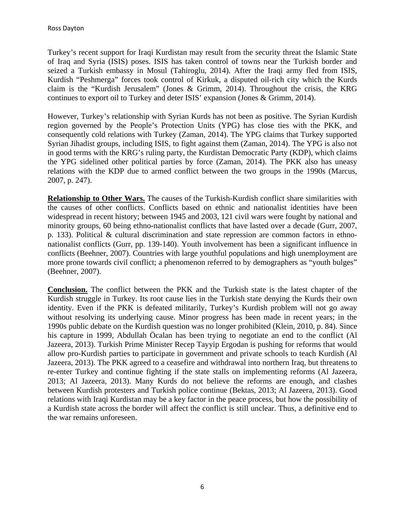Turkey's recent support for Iraqi Kurdistan may result from the security threat the Islamic State of Iraq and Syria (ISIS) poses. ISIS has taken control of towns near the Turkish border and seized a Turkish embassy in Mosul (Tahiroglu, 2014). After the Iraqi army fled from ISIS, Kurdish "Peshmerga" forces took control of Kirkuk, a disputed oil-rich city which the Kurds claim is the "Kurdish Jerusalem" (Jones & Grimm, 2014). Throughout the crisis, the KRG continues to export oil to Turkey and deter ISIS' expansion (Jones & Grimm, 2014).

However, Turkey's relationship with Syrian Kurds has not been as positive. The Syrian Kurdish region governed by the People's Protection Units (YPG) has close ties with the PKK, and consequently cold relations with Turkey (Zaman, 2014). The YPG claims that Turkey supported Syrian Jihadist groups, including ISIS, to fight against them (Zaman, 2014). The YPG is also not in good terms with the KRG's ruling party, the Kurdistan Democratic Party (KDP), which claims the YPG sidelined other political parties by force (Zaman, 2014). The PKK also has uneasy relations with the KDP due to armed conflict between the two groups in the 1990s (Marcus, 2007, p. 247).

**Relationship to Other Wars.** The causes of the Turkish-Kurdish conflict share similarities with the causes of other conflicts. Conflicts based on ethnic and nationalist identities have been widespread in recent history; between 1945 and 2003, 121 civil wars were fought by national and minority groups, 60 being ethno-nationalist conflicts that have lasted over a decade (Gurr, 2007, p. 133). Political & cultural discrimination and state repression are common factors in ethnonationalist conflicts (Gurr, pp. 139-140). Youth involvement has been a significant influence in conflicts (Beehner, 2007). Countries with large youthful populations and high unemployment are more prone towards civil conflict; a phenomenon referred to by demographers as "youth bulges" (Beehner, 2007).

**Conclusion.** The conflict between the PKK and the Turkish state is the latest chapter of the Kurdish struggle in Turkey. Its root cause lies in the Turkish state denying the Kurds their own identity. Even if the PKK is defeated militarily, Turkey's Kurdish problem will not go away without resolving its underlying cause. Minor progress has been made in recent years; in the 1990s public debate on the Kurdish question was no longer prohibited (Klein, 2010, p. 84). Since his capture in 1999, Abdullah Öcalan has been trying to negotiate an end to the conflict (Al Jazeera, 2013). Turkish Prime Minister Recep Tayyip Ergodan is pushing for reforms that would allow pro-Kurdish parties to participate in government and private schools to teach Kurdish (Al Jazeera, 2013). The PKK agreed to a ceasefire and withdrawal into northern Iraq, but threatens to re-enter Turkey and continue fighting if the state stalls on implementing reforms (Al Jazeera, 2013; Al Jazeera, 2013). Many Kurds do not believe the reforms are enough, and clashes between Kurdish protesters and Turkish police continue (Bektas, 2013; Al Jazeera, 2013). Good relations with Iraqi Kurdistan may be a key factor in the peace process, but how the possibility of a Kurdish state across the border will affect the conflict is still unclear. Thus, a definitive end to the war remains unforeseen.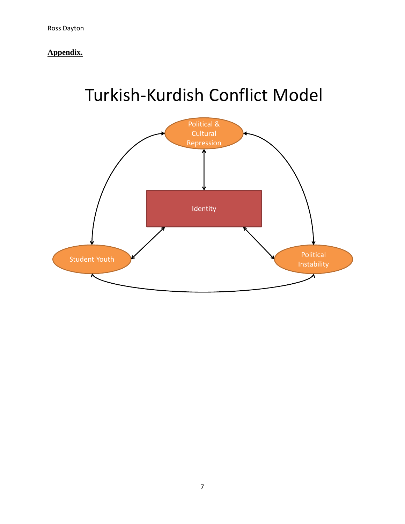**Appendix.** 

# Turkish‐Kurdish Conflict Model

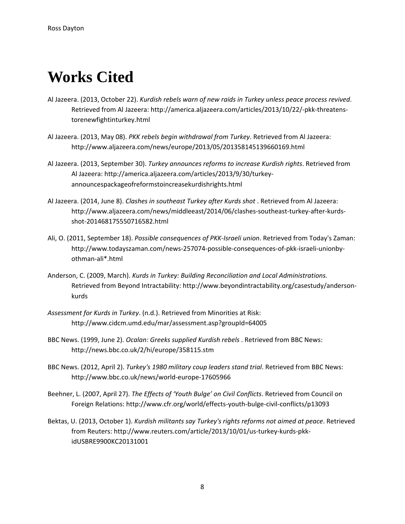# **Works Cited**

- Al Jazeera. (2013, October 22). *Kurdish rebels warn of new raids in Turkey unless peace process revived*. Retrieved from Al Jazeera: http://america.aljazeera.com/articles/2013/10/22/‐pkk‐threatens‐ torenewfightinturkey.html
- Al Jazeera. (2013, May 08). *PKK rebels begin withdrawal from Turkey*. Retrieved from Al Jazeera: http://www.aljazeera.com/news/europe/2013/05/201358145139660169.html
- Al Jazeera. (2013, September 30). *Turkey announces reforms to increase Kurdish rights*. Retrieved from Al Jazeera: http://america.aljazeera.com/articles/2013/9/30/turkey‐ announcespackageofreformstoincreasekurdishrights.html
- Al Jazeera. (2014, June 8). *Clashes in southeast Turkey after Kurds shot* . Retrieved from Al Jazeera: http://www.aljazeera.com/news/middleeast/2014/06/clashes‐southeast‐turkey‐after‐kurds‐ shot‐201468175550716582.html
- Ali, O. (2011, September 18). *Possible consequences of PKK‐Israeli union*. Retrieved from Today's Zaman: http://www.todayszaman.com/news‐257074‐possible‐consequences‐of‐pkk‐israeli‐unionby‐ othman‐ali\*.html
- Anderson, C. (2009, March). *Kurds in Turkey: Building Reconciliation and Local Administrations.* Retrieved from Beyond Intractability: http://www.beyondintractability.org/casestudy/anderson‐ kurds
- *Assessment for Kurds in Turkey*. (n.d.). Retrieved from Minorities at Risk: http://www.cidcm.umd.edu/mar/assessment.asp?groupId=64005
- BBC News. (1999, June 2). *Ocalan: Greeks supplied Kurdish rebels* . Retrieved from BBC News: http://news.bbc.co.uk/2/hi/europe/358115.stm
- BBC News. (2012, April 2). *Turkey's 1980 military coup leaders stand trial*. Retrieved from BBC News: http://www.bbc.co.uk/news/world‐europe‐17605966
- Beehner, L. (2007, April 27). *The Effects of 'Youth Bulge' on Civil Conflicts*. Retrieved from Council on Foreign Relations: http://www.cfr.org/world/effects‐youth‐bulge‐civil‐conflicts/p13093
- Bektas, U. (2013, October 1). *Kurdish militants say Turkey's rights reforms not aimed at peace*. Retrieved from Reuters: http://www.reuters.com/article/2013/10/01/us‐turkey‐kurds‐pkk‐ idUSBRE9900KC20131001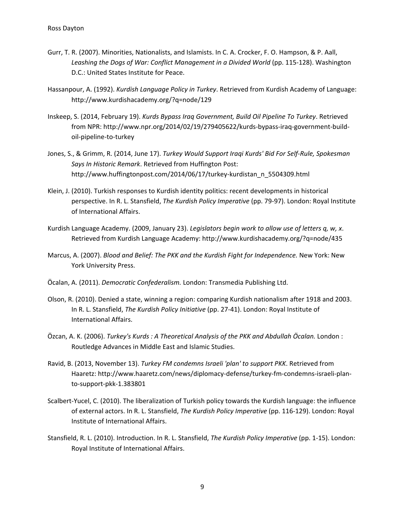- Gurr, T. R. (2007). Minorities, Nationalists, and Islamists. In C. A. Crocker, F. O. Hampson, & P. Aall, *Leashing the Dogs of War: Conflict Management in a Divided World* (pp. 115‐128). Washington D.C.: United States Institute for Peace.
- Hassanpour, A. (1992). *Kurdish Language Policy in Turkey*. Retrieved from Kurdish Academy of Language: http://www.kurdishacademy.org/?q=node/129
- Inskeep, S. (2014, February 19). *Kurds Bypass Iraq Government, Build Oil Pipeline To Turkey*. Retrieved from NPR: http://www.npr.org/2014/02/19/279405622/kurds‐bypass‐iraq‐government‐build‐ oil‐pipeline‐to‐turkey
- Jones, S., & Grimm, R. (2014, June 17). *Turkey Would Support Iraqi Kurds' Bid For Self‐Rule, Spokesman Says In Historic Remark*. Retrieved from Huffington Post: http://www.huffingtonpost.com/2014/06/17/turkey‐kurdistan\_n\_5504309.html
- Klein, J. (2010). Turkish responses to Kurdish identity politics: recent developments in historical perspective. In R. L. Stansfield, *The Kurdish Policy Imperative* (pp. 79‐97). London: Royal Institute of International Affairs.
- Kurdish Language Academy. (2009, January 23). *Legislators begin work to allow use of letters q, w, x*. Retrieved from Kurdish Language Academy: http://www.kurdishacademy.org/?q=node/435
- Marcus, A. (2007). *Blood and Belief: The PKK and the Kurdish Fight for Independence.* New York: New York University Press.
- Öcalan, A. (2011). *Democratic Confederalism.* London: Transmedia Publishing Ltd.
- Olson, R. (2010). Denied a state, winning a region: comparing Kurdish nationalism after 1918 and 2003. In R. L. Stansfield, *The Kurdish Policy Initiative* (pp. 27‐41). London: Royal Institute of International Affairs.
- Özcan, A. K. (2006). *Turkey's Kurds : A Theoretical Analysis of the PKK and Abdullah Öcalan.* London : Routledge Advances in Middle East and Islamic Studies.
- Ravid, B. (2013, November 13). *Turkey FM condemns Israeli 'plan' to support PKK*. Retrieved from Haaretz: http://www.haaretz.com/news/diplomacy‐defense/turkey‐fm‐condemns‐israeli‐plan‐ to‐support‐pkk‐1.383801
- Scalbert‐Yucel, C. (2010). The liberalization of Turkish policy towards the Kurdish language: the influence of external actors. In R. L. Stansfield, *The Kurdish Policy Imperative* (pp. 116‐129). London: Royal Institute of International Affairs.
- Stansfield, R. L. (2010). Introduction. In R. L. Stansfield, *The Kurdish Policy Imperative* (pp. 1‐15). London: Royal Institute of International Affairs.